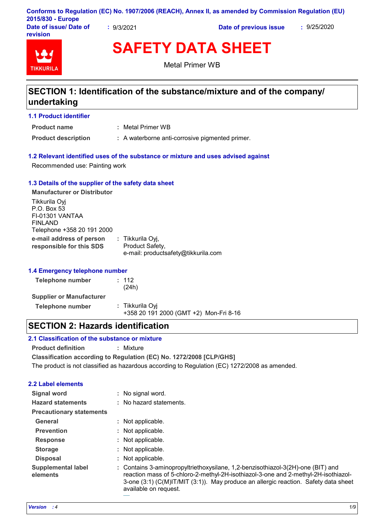|                                           |          | Conforms to Regulation (EC) No. 1907/2006 (REACH), Annex II, as amended by Commission Regulation (EU) |             |
|-------------------------------------------|----------|-------------------------------------------------------------------------------------------------------|-------------|
| 2015/830 - Europe                         |          |                                                                                                       |             |
| Date of issue/ Date of<br><b>revision</b> | 9/3/2021 | Date of previous issue                                                                                | : 9/25/2020 |

# **TIKKURIL**

**SAFETY DATA SHEET** Metal Primer WB

## **SECTION 1: Identification of the substance/mixture and of the company/ undertaking**

#### **1.1 Product identifier**

**Product name**

Metal Primer WB **:**

**Product description : A waterborne anti-corrosive pigmented primer.** 

#### **1.2 Relevant identified uses of the substance or mixture and uses advised against**

Recommended use: Painting work

#### **1.3 Details of the supplier of the safety data sheet**

**e-mail address of person responsible for this SDS :** Tikkurila Oyj, Product Safety, e-mail: productsafety@tikkurila.com **Manufacturer or Distributor** Tikkurila Oyj P.O. Box 53 FI-01301 VANTAA FINLAND Telephone +358 20 191 2000

#### **1.4 Emergency telephone number**

| Telephone number                | : 112<br>(24h)                                            |
|---------------------------------|-----------------------------------------------------------|
| <b>Supplier or Manufacturer</b> |                                                           |
| Telephone number                | : Tikkurila Oyi<br>+358 20 191 2000 (GMT +2) Mon-Fri 8-16 |

## **SECTION 2: Hazards identification**

#### **2.1 Classification of the substance or mixture**

**Product definition :** Mixture

**Classification according to Regulation (EC) No. 1272/2008 [CLP/GHS]**

The product is not classified as hazardous according to Regulation (EC) 1272/2008 as amended.

available on request.

#### **2.2 Label elements**

| Signal word                           | : No signal word.                                                                                                                                                                                                                                            |
|---------------------------------------|--------------------------------------------------------------------------------------------------------------------------------------------------------------------------------------------------------------------------------------------------------------|
| <b>Hazard statements</b>              | : No hazard statements.                                                                                                                                                                                                                                      |
| <b>Precautionary statements</b>       |                                                                                                                                                                                                                                                              |
| <b>General</b>                        | : Not applicable.                                                                                                                                                                                                                                            |
| <b>Prevention</b>                     | : Not applicable.                                                                                                                                                                                                                                            |
| <b>Response</b>                       | : Not applicable.                                                                                                                                                                                                                                            |
| <b>Storage</b>                        | : Not applicable.                                                                                                                                                                                                                                            |
| <b>Disposal</b>                       | : Not applicable.                                                                                                                                                                                                                                            |
| <b>Supplemental label</b><br>elements | : Contains 3-aminopropyltriethoxysilane, 1,2-benzisothiazol-3(2H)-one (BIT) and<br>reaction mass of 5-chloro-2-methyl-2H-isothiazol-3-one and 2-methyl-2H-isothiazol-<br>3-one (3:1) (C(M)IT/MIT (3:1)). May produce an allergic reaction. Safety data sheet |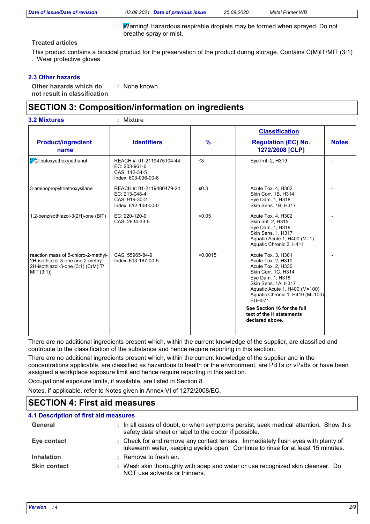*Date of issue/Date of revision 03.09.2021 Date of previous issue 25.09.2020. Metal Primer WB*

Warning! Hazardous respirable droplets may be formed when sprayed. Do not breathe spray or mist.

#### **Treated articles**

This product contains a biocidal product for the preservation of the product during storage. Contains C(M)IT/MIT (3:1) . Wear protective gloves.

#### **2.3 Other hazards**

**Other hazards which do : not result in classification** : None known.

## **SECTION 3: Composition/information on ingredients**

|                                                                                                                              |                                                                                    |               | <b>Classification</b>                                                                                                                                                                                                 |              |
|------------------------------------------------------------------------------------------------------------------------------|------------------------------------------------------------------------------------|---------------|-----------------------------------------------------------------------------------------------------------------------------------------------------------------------------------------------------------------------|--------------|
| <b>Product/ingredient</b><br>name                                                                                            | <b>Identifiers</b>                                                                 | $\frac{9}{6}$ | <b>Regulation (EC) No.</b><br>1272/2008 [CLP]                                                                                                                                                                         | <b>Notes</b> |
| 2 2-butoxyethoxy) ethanol                                                                                                    | REACH #: 01-2119475104-44<br>EC: 203-961-6<br>CAS: 112-34-5<br>Index: 603-096-00-8 | $\leq$ 3      | Eye Irrit. 2, H319                                                                                                                                                                                                    |              |
| 3-aminopropyltriethoxysilane                                                                                                 | REACH #: 01-2119480479-24<br>EC: 213-048-4<br>CAS: 919-30-2<br>Index: 612-108-00-0 | $≤0.3$        | Acute Tox. 4, H302<br>Skin Corr. 1B, H314<br>Eye Dam. 1, H318<br>Skin Sens. 1B, H317                                                                                                                                  |              |
| 1,2-benzisothiazol-3(2H)-one (BIT)                                                                                           | EC: 220-120-9<br>CAS: 2634-33-5                                                    | < 0.05        | Acute Tox. 4, H302<br>Skin Irrit. 2, H315<br>Eye Dam. 1, H318<br>Skin Sens. 1, H317<br>Aquatic Acute 1, H400 (M=1)<br>Aquatic Chronic 2, H411                                                                         |              |
| reaction mass of 5-chloro-2-methyl-<br>2H-isothiazol-3-one and 2-methyl-<br>2H-isothiazol-3-one (3:1) (C(M)IT/<br>MIT (3:1)) | CAS: 55965-84-9<br>Index: 613-167-00-5                                             | < 0.0015      | Acute Tox. 3, H301<br>Acute Tox. 2, H310<br>Acute Tox. 2, H330<br>Skin Corr. 1C, H314<br>Eye Dam. 1, H318<br>Skin Sens. 1A, H317<br>Aquatic Acute 1, H400 (M=100)<br>Aquatic Chronic 1, H410 (M=100)<br><b>EUH071</b> |              |
|                                                                                                                              |                                                                                    |               | See Section 16 for the full<br>text of the H statements<br>declared above.                                                                                                                                            |              |

There are no additional ingredients present which, within the current knowledge of the supplier, are classified and contribute to the classification of the substance and hence require reporting in this section.

There are no additional ingredients present which, within the current knowledge of the supplier and in the concentrations applicable, are classified as hazardous to health or the environment, are PBTs or vPvBs or have been assigned a workplace exposure limit and hence require reporting in this section.

Occupational exposure limits, if available, are listed in Section 8.

Notes, if applicable, refer to Notes given in Annex VI of 1272/2008/EC.

### **SECTION 4: First aid measures**

| <b>4.1 Description of first aid measures</b> |                                                                                                                                                                      |
|----------------------------------------------|----------------------------------------------------------------------------------------------------------------------------------------------------------------------|
| General                                      | : In all cases of doubt, or when symptoms persist, seek medical attention. Show this<br>safety data sheet or label to the doctor if possible.                        |
| Eye contact                                  | : Check for and remove any contact lenses. Immediately flush eyes with plenty of<br>lukewarm water, keeping eyelids open. Continue to rinse for at least 15 minutes. |
| <b>Inhalation</b>                            | : Remove to fresh air.                                                                                                                                               |
| <b>Skin contact</b>                          | : Wash skin thoroughly with soap and water or use recognized skin cleanser. Do<br>NOT use solvents or thinners.                                                      |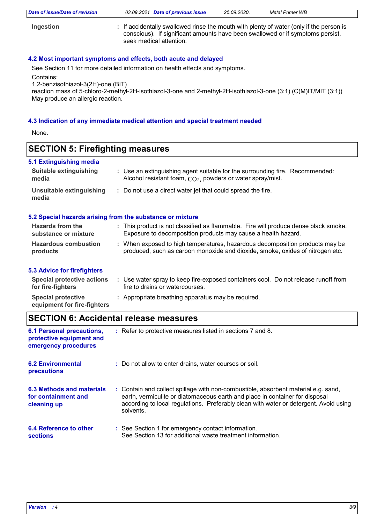| Date of issue/Date of revision | 03.09.2021 Date of previous issue                                                                                                                                                                    | 25.09.2020. | <b>Metal Primer WB</b> |
|--------------------------------|------------------------------------------------------------------------------------------------------------------------------------------------------------------------------------------------------|-------------|------------------------|
| Ingestion                      | : If accidentally swallowed rinse the mouth with plenty of water (only if the person is<br>conscious). If significant amounts have been swallowed or if symptoms persist,<br>seek medical attention. |             |                        |

#### **4.2 Most important symptoms and effects, both acute and delayed**

See Section 11 for more detailed information on health effects and symptoms. Contains:

1,2-benzisothiazol-3(2H)-one (BIT)

reaction mass of 5-chloro-2-methyl-2H-isothiazol-3-one and 2-methyl-2H-isothiazol-3-one (3:1) (C(M)IT/MIT (3:1)) May produce an allergic reaction.

#### **4.3 Indication of any immediate medical attention and special treatment needed**

None.

## **SECTION 5: Firefighting measures**

| 5.1 Extinguishing media                  |                                                                                                                                                        |
|------------------------------------------|--------------------------------------------------------------------------------------------------------------------------------------------------------|
| Suitable extinguishing<br>media          | : Use an extinguishing agent suitable for the surrounding fire. Recommended:<br>Alcohol resistant foam, CO <sub>2</sub> , powders or water spray/mist. |
| Unsuitable extinguishing<br>media        | : Do not use a direct water jet that could spread the fire.                                                                                            |
|                                          | 5.2 Special hazards arising from the substance or mixture                                                                                              |
| Hazards from the<br>substance or mixture | : This product is not classified as flammable. Fire will produce dense black smoke.<br>Exposure to decomposition products may cause a health hazard.   |
| <b>Hazardous combustion</b>              | When exposed to high temperatures, hazardous decomposition products may be                                                                             |

#### **5.3 Advice for firefighters**

**products**

| <b>Special protective actions</b><br>for fire-fighters   | Use water spray to keep fire-exposed containers cool. Do not release runoff from<br>fire to drains or watercourses. |
|----------------------------------------------------------|---------------------------------------------------------------------------------------------------------------------|
| <b>Special protective</b><br>equipment for fire-fighters | : Appropriate breathing apparatus may be required.                                                                  |

produced, such as carbon monoxide and dioxide, smoke, oxides of nitrogen etc.

## **SECTION 6: Accidental release measures**

| <b>6.1 Personal precautions,</b><br>protective equipment and<br>emergency procedures | : Refer to protective measures listed in sections 7 and 8.                                                                                                                                                                                                               |
|--------------------------------------------------------------------------------------|--------------------------------------------------------------------------------------------------------------------------------------------------------------------------------------------------------------------------------------------------------------------------|
| <b>6.2 Environmental</b><br>precautions                                              | : Do not allow to enter drains, water courses or soil.                                                                                                                                                                                                                   |
| 6.3 Methods and materials<br>for containment and<br>cleaning up                      | : Contain and collect spillage with non-combustible, absorbent material e.g. sand,<br>earth, vermiculite or diatomaceous earth and place in container for disposal<br>according to local regulations. Preferably clean with water or detergent. Avoid using<br>solvents. |
| <b>6.4 Reference to other</b><br><b>sections</b>                                     | : See Section 1 for emergency contact information.<br>See Section 13 for additional waste treatment information.                                                                                                                                                         |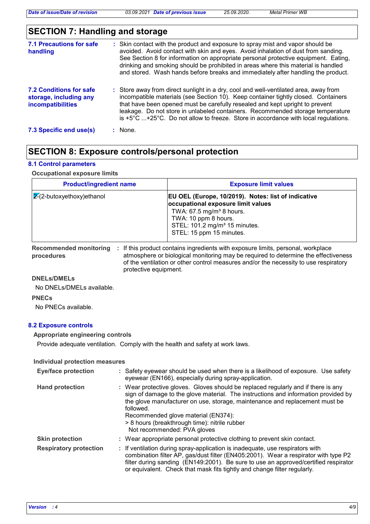*Date of issue/Date of revision 03.09.2021 Date of previous issue 25.09.2020. Metal Primer WB*

# **SECTION 7: Handling and storage**

| <b>7.1 Precautions for safe</b><br>handling                                   | : Skin contact with the product and exposure to spray mist and vapor should be<br>avoided. Avoid contact with skin and eyes. Avoid inhalation of dust from sanding.<br>See Section 8 for information on appropriate personal protective equipment. Eating,<br>drinking and smoking should be prohibited in areas where this material is handled<br>and stored. Wash hands before breaks and immediately after handling the product.          |
|-------------------------------------------------------------------------------|----------------------------------------------------------------------------------------------------------------------------------------------------------------------------------------------------------------------------------------------------------------------------------------------------------------------------------------------------------------------------------------------------------------------------------------------|
| 7.2 Conditions for safe<br>storage, including any<br><b>incompatibilities</b> | : Store away from direct sunlight in a dry, cool and well-ventilated area, away from<br>incompatible materials (see Section 10). Keep container tightly closed. Containers<br>that have been opened must be carefully resealed and kept upright to prevent<br>leakage. Do not store in unlabeled containers. Recommended storage temperature<br>is $+5^{\circ}$ C +25°C. Do not allow to freeze. Store in accordance with local regulations. |
| 7.3 Specific end use(s)                                                       | : None.                                                                                                                                                                                                                                                                                                                                                                                                                                      |

## **SECTION 8: Exposure controls/personal protection**

#### **8.1 Control parameters**

#### **Occupational exposure limits**

| <b>Product/ingredient name</b>      | <b>Exposure limit values</b>                                                                                                                                                                                                         |
|-------------------------------------|--------------------------------------------------------------------------------------------------------------------------------------------------------------------------------------------------------------------------------------|
| $\sqrt{2}$ (2-butoxyethoxy) ethanol | EU OEL (Europe, 10/2019). Notes: list of indicative<br>occupational exposure limit values<br>TWA: $67.5$ mg/m <sup>3</sup> 8 hours.<br>TWA: 10 ppm 8 hours.<br>STEL: 101.2 mg/m <sup>3</sup> 15 minutes.<br>STEL: 15 ppm 15 minutes. |

**Recommended monitoring procedures** : If this product contains ingredients with exposure limits, personal, workplace atmosphere or biological monitoring may be required to determine the effectiveness of the ventilation or other control measures and/or the necessity to use respiratory protective equipment.

#### **DNELs/DMELs**

No DNELs/DMELs available.

**PNECs**

No PNECs available.

#### **8.2 Exposure controls**

#### **Appropriate engineering controls**

Provide adequate ventilation. Comply with the health and safety at work laws.

#### **Individual protection measures**

| <b>Eye/face protection</b>    | : Safety eyewear should be used when there is a likelihood of exposure. Use safety<br>eyewear (EN166), especially during spray-application.                                                                                                                                                                                                                                                |
|-------------------------------|--------------------------------------------------------------------------------------------------------------------------------------------------------------------------------------------------------------------------------------------------------------------------------------------------------------------------------------------------------------------------------------------|
| <b>Hand protection</b>        | : Wear protective gloves. Gloves should be replaced regularly and if there is any<br>sign of damage to the glove material. The instructions and information provided by<br>the glove manufacturer on use, storage, maintenance and replacement must be<br>followed.<br>Recommended glove material (EN374):<br>> 8 hours (breakthrough time): nitrile rubber<br>Not recommended: PVA gloves |
| <b>Skin protection</b>        | : Wear appropriate personal protective clothing to prevent skin contact.                                                                                                                                                                                                                                                                                                                   |
| <b>Respiratory protection</b> | : If ventilation during spray-application is inadequate, use respirators with<br>combination filter AP, gas/dust filter (EN405:2001). Wear a respirator with type P2<br>filter during sanding (EN149:2001). Be sure to use an approved/certified respirator<br>or equivalent. Check that mask fits tightly and change filter regularly.                                                    |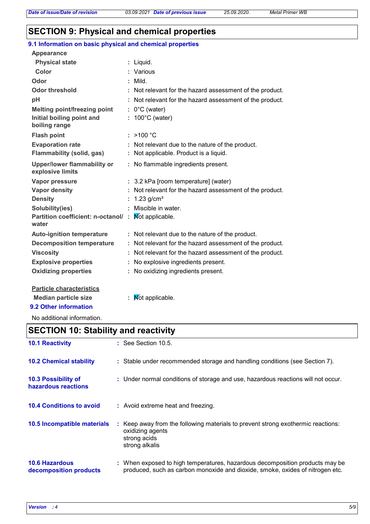## **SECTION 9: Physical and chemical properties**

## **9.1 Information on basic physical and chemical properties**

| <b>Appearance</b>                                      |                                                          |
|--------------------------------------------------------|----------------------------------------------------------|
| <b>Physical state</b>                                  | : Liquid.                                                |
| Color                                                  | Various                                                  |
| Odor                                                   | : Mild.                                                  |
| Odor threshold                                         | : Not relevant for the hazard assessment of the product. |
| pH                                                     | Not relevant for the hazard assessment of the product.   |
| <b>Melting point/freezing point</b>                    | $: 0^{\circ}$ C (water)                                  |
| Initial boiling point and<br>boiling range             | $: 100^{\circ}$ C (water)                                |
| <b>Flash point</b>                                     | : $>100 °C$                                              |
| <b>Evaporation rate</b>                                | : Not relevant due to the nature of the product.         |
| <b>Flammability (solid, gas)</b>                       | : Not applicable. Product is a liquid.                   |
| <b>Upper/lower flammability or</b><br>explosive limits | : No flammable ingredients present.                      |
| Vapor pressure                                         | : 3.2 kPa [room temperature] (water)                     |
| Vapor density                                          | : Not relevant for the hazard assessment of the product. |
| <b>Density</b>                                         | $1.23$ g/cm <sup>3</sup>                                 |
| Solubility(ies)                                        | Miscible in water.                                       |
| Partition coefficient: n-octanol/:<br>water            | Mot applicable.                                          |
| <b>Auto-ignition temperature</b>                       | : Not relevant due to the nature of the product.         |
| <b>Decomposition temperature</b>                       | : Not relevant for the hazard assessment of the product. |
| <b>Viscosity</b>                                       | : Not relevant for the hazard assessment of the product. |
| <b>Explosive properties</b>                            | : No explosive ingredients present.                      |
| <b>Oxidizing properties</b>                            | : No oxidizing ingredients present.                      |
| <b>Particle characteristics</b>                        |                                                          |
| <b>Median particle size</b>                            | <b>Not applicable.</b>                                   |

## **9.2 Other information**

No additional information.

# **SECTION 10: Stability and reactivity**

| <b>10.1 Reactivity</b>                          | $:$ See Section 10.5.                                                                                                                                         |
|-------------------------------------------------|---------------------------------------------------------------------------------------------------------------------------------------------------------------|
| <b>10.2 Chemical stability</b>                  | : Stable under recommended storage and handling conditions (see Section 7).                                                                                   |
| 10.3 Possibility of<br>hazardous reactions      | : Under normal conditions of storage and use, hazardous reactions will not occur.                                                                             |
| <b>10.4 Conditions to avoid</b>                 | : Avoid extreme heat and freezing.                                                                                                                            |
| 10.5 Incompatible materials                     | : Keep away from the following materials to prevent strong exothermic reactions:<br>oxidizing agents<br>strong acids<br>strong alkalis                        |
| <b>10.6 Hazardous</b><br>decomposition products | : When exposed to high temperatures, hazardous decomposition products may be<br>produced, such as carbon monoxide and dioxide, smoke, oxides of nitrogen etc. |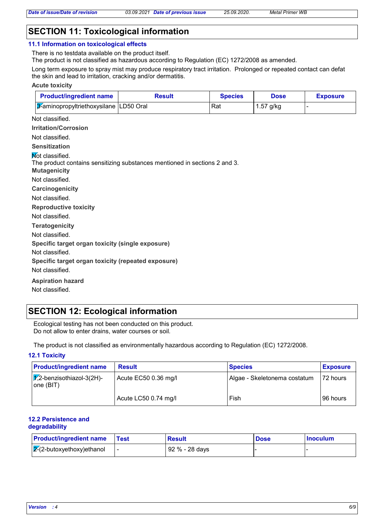## **SECTION 11: Toxicological information**

#### **11.1 Information on toxicological effects**

There is no testdata available on the product itself.

The product is not classified as hazardous according to Regulation (EC) 1272/2008 as amended.

Long term exposure to spray mist may produce respiratory tract irritation. Prolonged or repeated contact can defat the skin and lead to irritation, cracking and/or dermatitis.

#### **Acute toxicity**

| <b>Product/ingredient name</b>                                                                                              | <b>Result</b> | <b>Species</b> | <b>Dose</b> | <b>Exposure</b> |
|-----------------------------------------------------------------------------------------------------------------------------|---------------|----------------|-------------|-----------------|
| 3-aminopropyltriethoxysilane LD50 Oral                                                                                      |               | Rat            | $1.57$ g/kg |                 |
| Not classified.                                                                                                             |               |                |             |                 |
| <b>Irritation/Corrosion</b>                                                                                                 |               |                |             |                 |
| Not classified.                                                                                                             |               |                |             |                 |
| <b>Sensitization</b>                                                                                                        |               |                |             |                 |
| <b>Not classified.</b><br>The product contains sensitizing substances mentioned in sections 2 and 3.<br><b>Mutagenicity</b> |               |                |             |                 |
| Not classified.                                                                                                             |               |                |             |                 |
| Carcinogenicity                                                                                                             |               |                |             |                 |
| Not classified.                                                                                                             |               |                |             |                 |
| <b>Reproductive toxicity</b>                                                                                                |               |                |             |                 |
| Not classified.                                                                                                             |               |                |             |                 |
| <b>Teratogenicity</b>                                                                                                       |               |                |             |                 |
| Not classified.                                                                                                             |               |                |             |                 |
| Specific target organ toxicity (single exposure)                                                                            |               |                |             |                 |
| Not classified.                                                                                                             |               |                |             |                 |
| Specific target organ toxicity (repeated exposure)                                                                          |               |                |             |                 |
| Not classified.                                                                                                             |               |                |             |                 |
| <b>Aspiration hazard</b>                                                                                                    |               |                |             |                 |
|                                                                                                                             |               |                |             |                 |

Not classified.

## **SECTION 12: Ecological information**

Ecological testing has not been conducted on this product. Do not allow to enter drains, water courses or soil.

The product is not classified as environmentally hazardous according to Regulation (EC) 1272/2008.

#### **12.1 Toxicity**

| <b>Product/ingredient name</b>               | <b>Result</b>        | <b>Species</b>               | <b>Exposure</b> |
|----------------------------------------------|----------------------|------------------------------|-----------------|
| $ \chi$ 2-benzisothiazol-3(2H)-<br>one (BIT) | Acute EC50 0.36 mg/l | Algae - Skeletonema costatum | 72 hours        |
|                                              | Acute LC50 0.74 mg/l | Fish                         | 96 hours        |

#### **12.2 Persistence and degradability**

| <b>Product/ingredient name</b> | Test | Result         | <b>Dose</b> | <b>Inoculum</b> |  |
|--------------------------------|------|----------------|-------------|-----------------|--|
| $2-(2$ -butoxyethoxy) ethanol  |      | 92 % - 28 days |             |                 |  |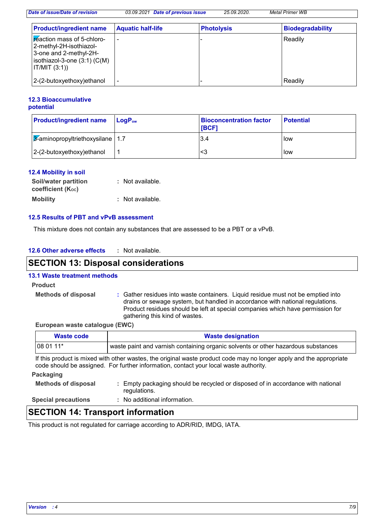|  | Date of issue/Date of revision |  | 03.09.2021 Date of previous issue | 25.09.2020. | <b>Metal Primer WB</b> |
|--|--------------------------------|--|-----------------------------------|-------------|------------------------|
|--|--------------------------------|--|-----------------------------------|-------------|------------------------|

| <b>Product/ingredient name</b>                                                                                                              | <b>Aquatic half-life</b> | <b>Photolysis</b> | <b>Biodegradability</b> |
|---------------------------------------------------------------------------------------------------------------------------------------------|--------------------------|-------------------|-------------------------|
| <b>Feaction mass of 5-chloro-</b><br>2-methyl-2H-isothiazol-<br>3-one and 2-methyl-2H-<br>isothiazol-3-one $(3:1)$ $(C(M))$<br>IT/MIT (3:1) |                          |                   | Readily                 |
| 2-(2-butoxyethoxy)ethanol                                                                                                                   |                          |                   | Readily                 |

#### **12.3 Bioaccumulative potential**

| <b>Product/ingredient name</b>               | $\mathsf{LogP}_\mathsf{ow}$ | <b>Bioconcentration factor</b><br><b>IBCF1</b> | <b>Potential</b> |
|----------------------------------------------|-----------------------------|------------------------------------------------|------------------|
| $\sqrt{3}$ -aminopropyltriethoxysilane   1.7 |                             | 3.4                                            | low              |
| $2-(2-butoxyethoxy)ethanol$                  |                             | <3                                             | low              |

#### **12.4 Mobility in soil**

| Soil/water partition   | : Not available. |
|------------------------|------------------|
| coefficient $(K_{oc})$ |                  |
| <b>Mobility</b>        | : Not available. |

#### **12.5 Results of PBT and vPvB assessment**

This mixture does not contain any substances that are assessed to be a PBT or a vPvB.

| 12.6 Other adverse effects |  | : Not available. |
|----------------------------|--|------------------|
|----------------------------|--|------------------|

## **SECTION 13: Disposal considerations**

#### **13.1 Waste treatment methods**

#### **Product**

**Methods of disposal :**

Gather residues into waste containers. Liquid residue must not be emptied into drains or sewage system, but handled in accordance with national regulations. Product residues should be left at special companies which have permission for gathering this kind of wastes.

#### **European waste catalogue (EWC)**

| <b>Waste code</b>          | <b>Waste designation</b>                                                                                                                                                                                     |
|----------------------------|--------------------------------------------------------------------------------------------------------------------------------------------------------------------------------------------------------------|
| 08 01 11*                  | waste paint and varnish containing organic solvents or other hazardous substances                                                                                                                            |
|                            | If this product is mixed with other wastes, the original waste product code may no longer apply and the appropriate<br>code should be assigned. For further information, contact your local waste authority. |
| Packaging                  |                                                                                                                                                                                                              |
| <b>Methods of disposal</b> | Empty packaging should be recycled or disposed of in accordance with national<br>regulations.                                                                                                                |
| <b>Special precautions</b> | : No additional information.                                                                                                                                                                                 |

## **SECTION 14: Transport information**

This product is not regulated for carriage according to ADR/RID, IMDG, IATA.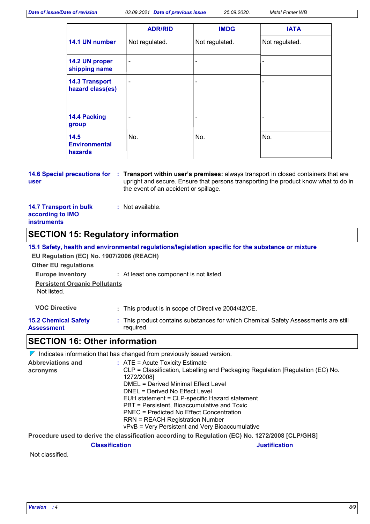*Date of issue/Date of revision 03.09.2021 Date of previous issue 25.09.2020. Metal Primer WB*

|                                           | <b>ADR/RID</b>           | <b>IMDG</b>    | <b>IATA</b>    |
|-------------------------------------------|--------------------------|----------------|----------------|
| 14.1 UN number                            | Not regulated.           | Not regulated. | Not regulated. |
| 14.2 UN proper<br>shipping name           | $\blacksquare$           | -              |                |
| <b>14.3 Transport</b><br>hazard class(es) | $\overline{\phantom{a}}$ | -              |                |
| 14.4 Packing<br>group                     | ٠                        | -              | ۰              |
| 14.5<br><b>Environmental</b><br>hazards   | No.                      | No.            | No.            |

**14.6 Special precautions for Transport within user's premises:** always transport in closed containers that are **: user** upright and secure. Ensure that persons transporting the product know what to do in the event of an accident or spillage.

| <b>14.7 Transport in bulk</b> | : Not available. |
|-------------------------------|------------------|
| according to IMO              |                  |
| <b>instruments</b>            |                  |

# **SECTION 15: Regulatory information**

| EU Regulation (EC) No. 1907/2006 (REACH)<br><b>Other EU regulations</b>        | 15.1 Safety, health and environmental regulations/legislation specific for the substance or mixture |
|--------------------------------------------------------------------------------|-----------------------------------------------------------------------------------------------------|
| <b>Europe inventory</b><br><b>Persistent Organic Pollutants</b><br>Not listed. | : At least one component is not listed.                                                             |
| <b>VOC Directive</b>                                                           | : This product is in scope of Directive 2004/42/CE.                                                 |
| <b>15.2 Chemical Safety</b><br><b>Assessment</b>                               | : This product contains substances for which Chemical Safety Assessments are still<br>reguired.     |

## **Assessment**

## **SECTION 16: Other information**

 $\nabla$  Indicates information that has changed from previously issued version.

| <b>Abbreviations and</b> | $:$ ATE = Acute Toxicity Estimate                                                                |
|--------------------------|--------------------------------------------------------------------------------------------------|
| acronyms                 | CLP = Classification, Labelling and Packaging Regulation [Regulation (EC) No.                    |
|                          | 1272/2008]                                                                                       |
|                          | DMEL = Derived Minimal Effect Level                                                              |
|                          | DNEL = Derived No Effect Level                                                                   |
|                          | EUH statement = CLP-specific Hazard statement                                                    |
|                          | PBT = Persistent, Bioaccumulative and Toxic                                                      |
|                          | PNEC = Predicted No Effect Concentration                                                         |
|                          | <b>RRN = REACH Registration Number</b>                                                           |
|                          | vPvB = Very Persistent and Very Bioaccumulative                                                  |
|                          | Recording the dealer the design of the conduction of Record of the <b>IRANNICA CONTAINING IN</b> |

**Procedure used to derive the classification according to Regulation (EC) No. 1272/2008 [CLP/GHS]**

**Classification Justification**

Not classified.